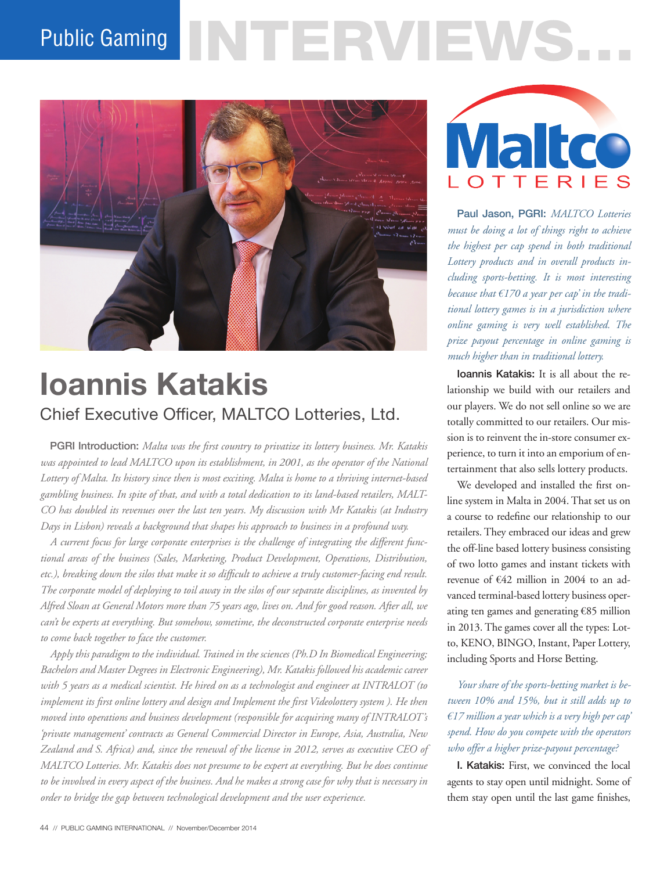# Public Gaming NTERVENS.



# **Ioannis Katakis** Chief Executive Officer, MALTCO Lotteries, Ltd.

PGRI Introduction: *Malta was the first country to privatize its lottery business. Mr. Katakis was appointed to lead MALTCO upon its establishment, in 2001, as the operator of the National Lottery of Malta. Its history since then is most exciting. Malta is home to a thriving internet-based gambling business. In spite of that, and with a total dedication to its land-based retailers, MALT-CO has doubled its revenues over the last ten years. My discussion with Mr Katakis (at Industry Days in Lisbon) reveals a background that shapes his approach to business in a profound way.* 

*A current focus for large corporate enterprises is the challenge of integrating the different functional areas of the business (Sales, Marketing, Product Development, Operations, Distribution, etc.), breaking down the silos that make it so difficult to achieve a truly customer-facing end result. The corporate model of deploying to toil away in the silos of our separate disciplines, as invented by Alfred Sloan at General Motors more than 75 years ago, lives on. And for good reason. After all, we can't be experts at everything. But somehow, sometime, the deconstructed corporate enterprise needs to come back together to face the customer.* 

*Apply this paradigm to the individual. Trained in the sciences (Ph.D In Biomedical Engineering; Bachelors and Master Degrees in Electronic Engineering), Mr. Katakis followed his academic career with 5 years as a medical scientist. He hired on as a technologist and engineer at INTRALOT (to implement its first online lottery and design and Implement the first Videolottery system ). He then moved into operations and business development (responsible for acquiring many of INTRALOT's 'private management' contracts as General Commercial Director in Europe, Asia, Australia, New Zealand and S. Africa) and, since the renewal of the license in 2012, serves as executive CEO of MALTCO Lotteries. Mr. Katakis does not presume to be expert at everything. But he does continue to be involved in every aspect of the business. And he makes a strong case for why that is necessary in order to bridge the gap between technological development and the user experience.*



Paul Jason, PGRI: *MALTCO Lotteries must be doing a lot of things right to achieve the highest per cap spend in both traditional Lottery products and in overall products including sports-betting. It is most interesting because that €170 a year per cap' in the traditional lottery games is in a jurisdiction where online gaming is very well established. The prize payout percentage in online gaming is much higher than in traditional lottery.* 

Ioannis Katakis: It is all about the relationship we build with our retailers and our players. We do not sell online so we are totally committed to our retailers. Our mission is to reinvent the in-store consumer experience, to turn it into an emporium of entertainment that also sells lottery products.

We developed and installed the first online system in Malta in 2004. That set us on a course to redefine our relationship to our retailers. They embraced our ideas and grew the off-line based lottery business consisting of two lotto games and instant tickets with revenue of €42 million in 2004 to an advanced terminal-based lottery business operating ten games and generating €85 million in 2013. The games cover all the types: Lotto, KENO, BINGO, Instant, Paper Lottery, including Sports and Horse Betting.

*Your share of the sports-betting market is between 10% and 15%, but it still adds up to €17 million a year which is a very high per cap' spend. How do you compete with the operators who offer a higher prize-payout percentage?*

I. Katakis: First, we convinced the local agents to stay open until midnight. Some of them stay open until the last game finishes,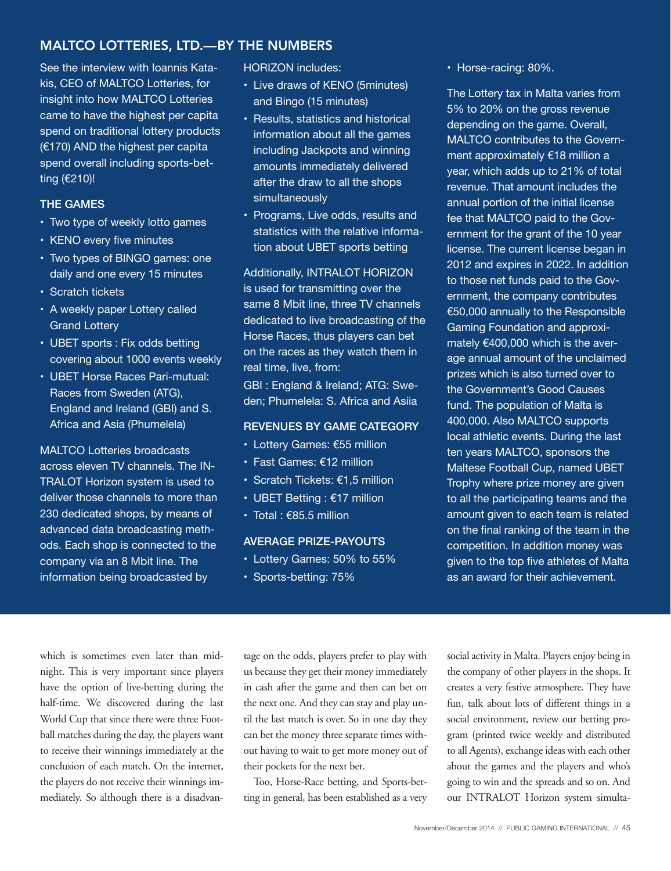#### MALTCO LOTTERIES, LTD.—BY THE NUMBERS

See the interview with Ioannis Katakis, CEO of MALTCO Lotteries, for insight into how MALTCO Lotteries came to have the highest per capita spend on traditional lottery products (€170) AND the highest per capita spend overall including sports-betting (€210)!

#### THE GAMES

- Two type of weekly lotto games
- KENO every five minutes
- Two types of BINGO games: one daily and one every 15 minutes
- Scratch tickets
- A weekly paper Lottery called Grand Lottery
- UBET sports : Fix odds betting covering about 1000 events weekly
- UBET Horse Races Pari-mutual: Races from Sweden (ATG), England and Ireland (GBI) and S. Africa and Asia (Phumelela)

MALTCO Lotteries broadcasts across eleven TV channels. The IN-TRALOT Horizon system is used to deliver those channels to more than 230 dedicated shops, by means of advanced data broadcasting methods. Each shop is connected to the company via an 8 Mbit line. The information being broadcasted by

HORIZON includes:

- Live draws of KENO (5minutes) and Bingo (15 minutes)
- Results, statistics and historical information about all the games including Jackpots and winning amounts immediately delivered after the draw to all the shops simultaneously
- Programs, Live odds, results and statistics with the relative information about UBET sports betting

Additionally, INTRALOT HORIZON is used for transmitting over the same 8 Mbit line, three TV channels dedicated to live broadcasting of the Horse Races, thus players can bet on the races as they watch them in real time, live, from:

GBI : England & Ireland; ATG: Sweden; Phumelela: S. Africa and Asiia

#### REVENUES BY GAME CATEGORY

- Lottery Games: €55 million
- Fast Games: €12 million
- Scratch Tickets: €1,5 million
- UBET Betting : €17 million
- Total : €85.5 million

#### AVERAGE PRIZE-PAYOUTS

- Lottery Games: 50% to 55%
- Sports-betting: 75%

• Horse-racing: 80%.

The Lottery tax in Malta varies from 5% to 20% on the gross revenue depending on the game. Overall, MALTCO contributes to the Government approximately €18 million a year, which adds up to 21% of total revenue. That amount includes the annual portion of the initial license fee that MALTCO paid to the Government for the grant of the 10 year license. The current license began in 2012 and expires in 2022. In addition to those net funds paid to the Government, the company contributes €50,000 annually to the Responsible Gaming Foundation and approximately €400,000 which is the average annual amount of the unclaimed prizes which is also turned over to the Government's Good Causes fund. The population of Malta is 400,000. Also MALTCO supports local athletic events. During the last ten years MALTCO, sponsors the Maltese Football Cup, named UBET Trophy where prize money are given to all the participating teams and the amount given to each team is related on the final ranking of the team in the competition. In addition money was given to the top five athletes of Malta as an award for their achievement.

which is sometimes even later than midnight. This is very important since players have the option of live-betting during the half-time. We discovered during the last World Cup that since there were three Football matches during the day, the players want to receive their winnings immediately at the conclusion of each match. On the internet, the players do not receive their winnings immediately. So although there is a disadvantage on the odds, players prefer to play with us because they get their money immediately in cash after the game and then can bet on the next one. And they can stay and play until the last match is over. So in one day they can bet the money three separate times without having to wait to get more money out of their pockets for the next bet.

Too, Horse-Race betting, and Sports-betting in general, has been established as a very social activity in Malta. Players enjoy being in the company of other players in the shops. It creates a very festive atmosphere. They have fun, talk about lots of different things in a social environment, review our betting program (printed twice weekly and distributed to all Agents), exchange ideas with each other about the games and the players and who's going to win and the spreads and so on. And our INTRALOT Horizon system simulta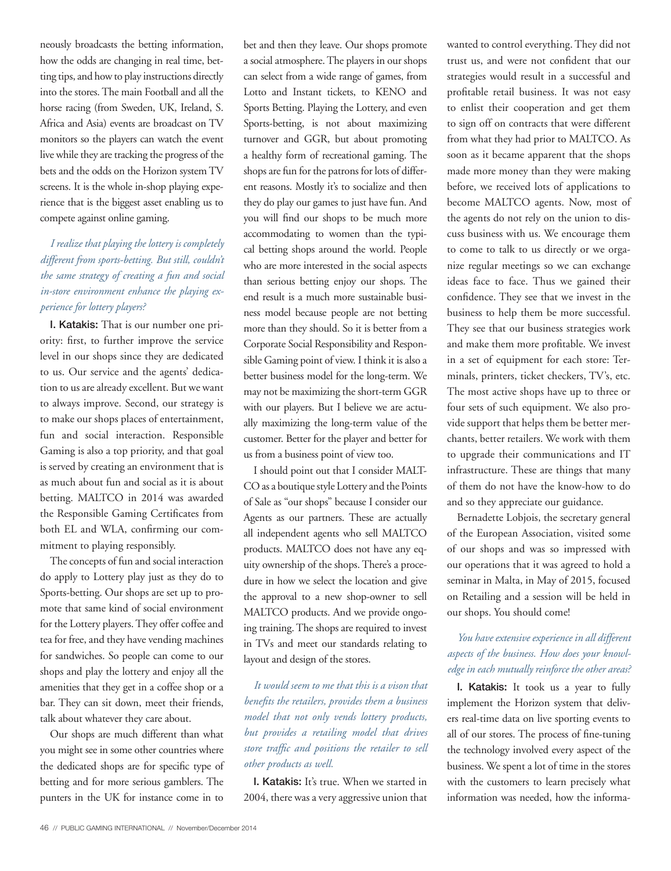neously broadcasts the betting information, how the odds are changing in real time, betting tips, and how to play instructions directly into the stores. The main Football and all the horse racing (from Sweden, UK, Ireland, S. Africa and Asia) events are broadcast on TV monitors so the players can watch the event live while they are tracking the progress of the bets and the odds on the Horizon system TV screens. It is the whole in-shop playing experience that is the biggest asset enabling us to compete against online gaming.

# *I realize that playing the lottery is completely different from sports-betting. But still, couldn't the same strategy of creating a fun and social in-store environment enhance the playing experience for lottery players?*

I. Katakis: That is our number one priority: first, to further improve the service level in our shops since they are dedicated to us. Our service and the agents' dedication to us are already excellent. But we want to always improve. Second, our strategy is to make our shops places of entertainment, fun and social interaction. Responsible Gaming is also a top priority, and that goal is served by creating an environment that is as much about fun and social as it is about betting. MALTCO in 2014 was awarded the Responsible Gaming Certificates from both EL and WLA, confirming our commitment to playing responsibly.

The concepts of fun and social interaction do apply to Lottery play just as they do to Sports-betting. Our shops are set up to promote that same kind of social environment for the Lottery players. They offer coffee and tea for free, and they have vending machines for sandwiches. So people can come to our shops and play the lottery and enjoy all the amenities that they get in a coffee shop or a bar. They can sit down, meet their friends, talk about whatever they care about.

Our shops are much different than what you might see in some other countries where the dedicated shops are for specific type of betting and for more serious gamblers. The punters in the UK for instance come in to

bet and then they leave. Our shops promote a social atmosphere. The players in our shops can select from a wide range of games, from Lotto and Instant tickets, to KENO and Sports Betting. Playing the Lottery, and even Sports-betting, is not about maximizing turnover and GGR, but about promoting a healthy form of recreational gaming. The shops are fun for the patrons for lots of different reasons. Mostly it's to socialize and then they do play our games to just have fun. And you will find our shops to be much more accommodating to women than the typical betting shops around the world. People who are more interested in the social aspects than serious betting enjoy our shops. The end result is a much more sustainable business model because people are not betting more than they should. So it is better from a Corporate Social Responsibility and Responsible Gaming point of view. I think it is also a better business model for the long-term. We may not be maximizing the short-term GGR with our players. But I believe we are actually maximizing the long-term value of the customer. Better for the player and better for us from a business point of view too.

I should point out that I consider MALT-CO as a boutique style Lottery and the Points of Sale as "our shops" because I consider our Agents as our partners. These are actually all independent agents who sell MALTCO products. MALTCO does not have any equity ownership of the shops. There's a procedure in how we select the location and give the approval to a new shop-owner to sell MALTCO products. And we provide ongoing training. The shops are required to invest in TVs and meet our standards relating to layout and design of the stores.

*It would seem to me that this is a vison that benefits the retailers, provides them a business model that not only vends lottery products, but provides a retailing model that drives store traffic and positions the retailer to sell other products as well.* 

I. Katakis: It's true. When we started in 2004, there was a very aggressive union that wanted to control everything. They did not trust us, and were not confident that our strategies would result in a successful and profitable retail business. It was not easy to enlist their cooperation and get them to sign off on contracts that were different from what they had prior to MALTCO. As soon as it became apparent that the shops made more money than they were making before, we received lots of applications to become MALTCO agents. Now, most of the agents do not rely on the union to discuss business with us. We encourage them to come to talk to us directly or we organize regular meetings so we can exchange ideas face to face. Thus we gained their confidence. They see that we invest in the business to help them be more successful. They see that our business strategies work and make them more profitable. We invest in a set of equipment for each store: Terminals, printers, ticket checkers, TV's, etc. The most active shops have up to three or four sets of such equipment. We also provide support that helps them be better merchants, better retailers. We work with them to upgrade their communications and IT infrastructure. These are things that many of them do not have the know-how to do and so they appreciate our guidance.

Bernadette Lobjois, the secretary general of the European Association, visited some of our shops and was so impressed with our operations that it was agreed to hold a seminar in Malta, in May of 2015, focused on Retailing and a session will be held in our shops. You should come!

#### *You have extensive experience in all different aspects of the business. How does your knowledge in each mutually reinforce the other areas?*

I. Katakis: It took us a year to fully implement the Horizon system that delivers real-time data on live sporting events to all of our stores. The process of fine-tuning the technology involved every aspect of the business. We spent a lot of time in the stores with the customers to learn precisely what information was needed, how the informa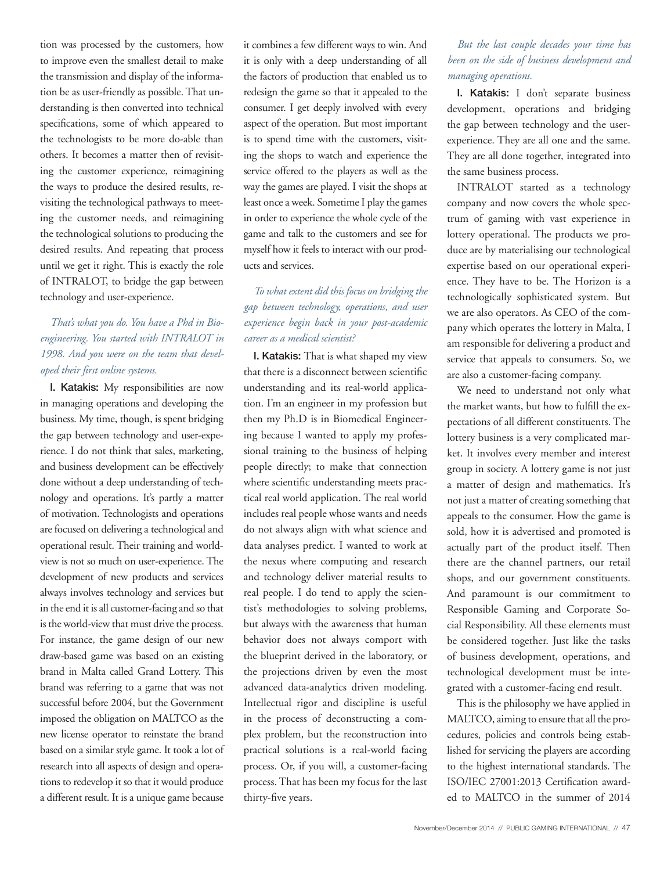tion was processed by the customers, how to improve even the smallest detail to make the transmission and display of the information be as user-friendly as possible. That understanding is then converted into technical specifications, some of which appeared to the technologists to be more do-able than others. It becomes a matter then of revisiting the customer experience, reimagining the ways to produce the desired results, revisiting the technological pathways to meeting the customer needs, and reimagining the technological solutions to producing the desired results. And repeating that process until we get it right. This is exactly the role of INTRALOT, to bridge the gap between technology and user-experience.

# *That's what you do. You have a Phd in Bioengineering. You started with INTRALOT in 1998. And you were on the team that developed their first online systems.*

I. Katakis: My responsibilities are now in managing operations and developing the business. My time, though, is spent bridging the gap between technology and user-experience. I do not think that sales, marketing, and business development can be effectively done without a deep understanding of technology and operations. It's partly a matter of motivation. Technologists and operations are focused on delivering a technological and operational result. Their training and worldview is not so much on user-experience. The development of new products and services always involves technology and services but in the end it is all customer-facing and so that is the world-view that must drive the process. For instance, the game design of our new draw-based game was based on an existing brand in Malta called Grand Lottery. This brand was referring to a game that was not successful before 2004, but the Government imposed the obligation on MALTCO as the new license operator to reinstate the brand based on a similar style game. It took a lot of research into all aspects of design and operations to redevelop it so that it would produce a different result. It is a unique game because

it combines a few different ways to win. And it is only with a deep understanding of all the factors of production that enabled us to redesign the game so that it appealed to the consumer. I get deeply involved with every aspect of the operation. But most important is to spend time with the customers, visiting the shops to watch and experience the service offered to the players as well as the way the games are played. I visit the shops at least once a week. Sometime I play the games in order to experience the whole cycle of the game and talk to the customers and see for myself how it feels to interact with our products and services.

# *To what extent did this focus on bridging the gap between technology, operations, and user experience begin back in your post-academic career as a medical scientist?*

I. Katakis: That is what shaped my view that there is a disconnect between scientific understanding and its real-world application. I'm an engineer in my profession but then my Ph.D is in Biomedical Engineering because I wanted to apply my professional training to the business of helping people directly; to make that connection where scientific understanding meets practical real world application. The real world includes real people whose wants and needs do not always align with what science and data analyses predict. I wanted to work at the nexus where computing and research and technology deliver material results to real people. I do tend to apply the scientist's methodologies to solving problems, but always with the awareness that human behavior does not always comport with the blueprint derived in the laboratory, or the projections driven by even the most advanced data-analytics driven modeling. Intellectual rigor and discipline is useful in the process of deconstructing a complex problem, but the reconstruction into practical solutions is a real-world facing process. Or, if you will, a customer-facing process. That has been my focus for the last thirty-five years.

#### *But the last couple decades your time has been on the side of business development and managing operations.*

I. Katakis: I don't separate business development, operations and bridging the gap between technology and the userexperience. They are all one and the same. They are all done together, integrated into the same business process.

INTRALOT started as a technology company and now covers the whole spectrum of gaming with vast experience in lottery operational. The products we produce are by materialising our technological expertise based on our operational experience. They have to be. The Horizon is a technologically sophisticated system. But we are also operators. As CEO of the company which operates the lottery in Malta, I am responsible for delivering a product and service that appeals to consumers. So, we are also a customer-facing company.

We need to understand not only what the market wants, but how to fulfill the expectations of all different constituents. The lottery business is a very complicated market. It involves every member and interest group in society. A lottery game is not just a matter of design and mathematics. It's not just a matter of creating something that appeals to the consumer. How the game is sold, how it is advertised and promoted is actually part of the product itself. Then there are the channel partners, our retail shops, and our government constituents. And paramount is our commitment to Responsible Gaming and Corporate Social Responsibility. All these elements must be considered together. Just like the tasks of business development, operations, and technological development must be integrated with a customer-facing end result.

This is the philosophy we have applied in MALTCO, aiming to ensure that all the procedures, policies and controls being established for servicing the players are according to the highest international standards. The ISO/IEC 27001:2013 Certification awarded to MALTCO in the summer of 2014